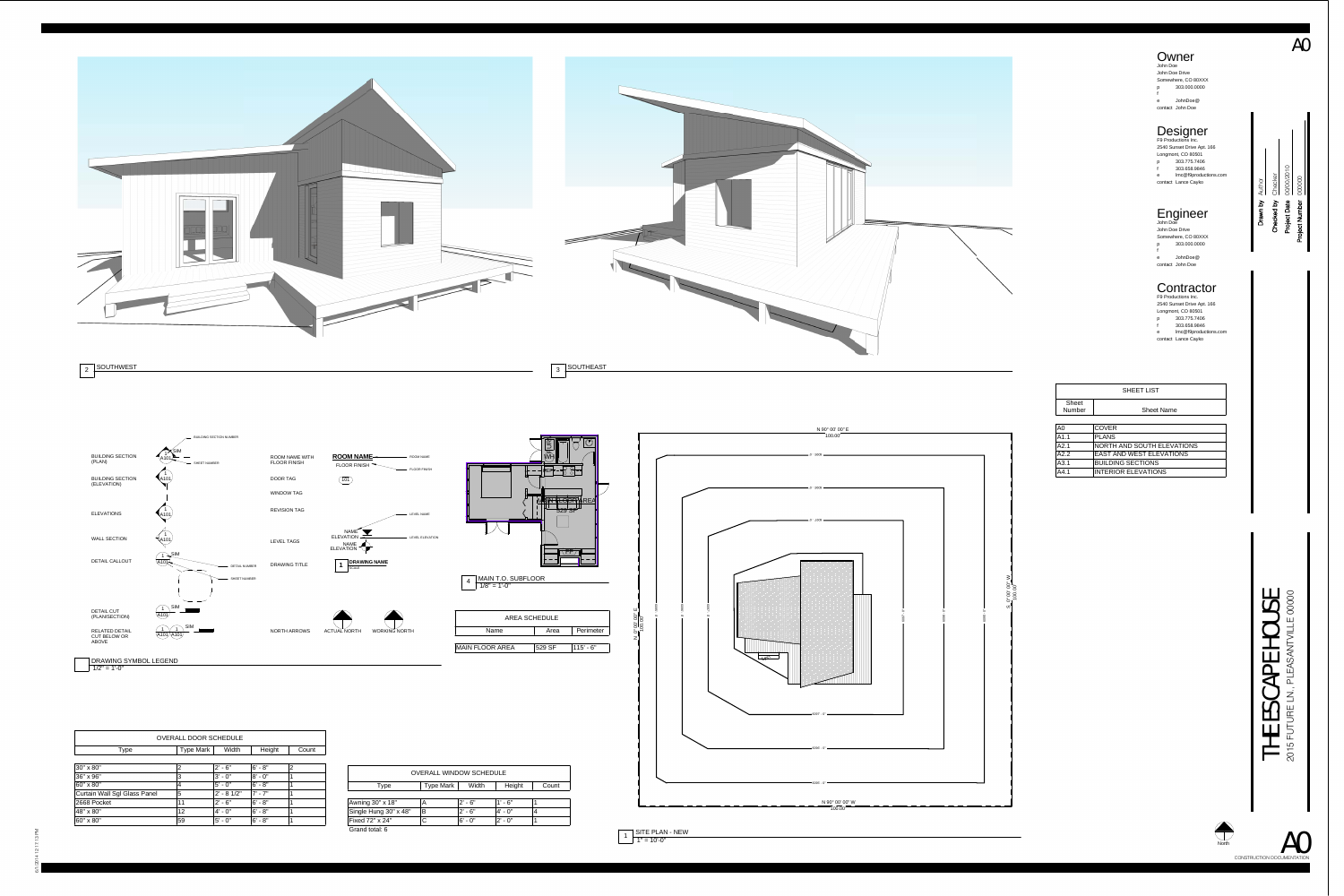1A101 SIM1 A101 1 A101BUILDING SECTION (PLAN) BUILDING SECTION NUMBER SHEET NUMBERBUILDING SECTION (ELEVATION) ELEVATIONS **ROOM NAME** FLOOR FINISH 101 ROOM NAME WITH FLOOR FINISH ROOM NAME FLOOR FINISH DOOR TAG WINDOW TAG REVISION TAG LEVEL NAME 2 SOUTHWEST

1 A101 A101  $1 + \frac{SIM}{4}$ A1011 $\bigcap$  SIM A101  $\overline{1}$  SIM A101 1 WALL SECTION DETAIL CALLOUT DETAIL NUMBER SHEET NUMBER DETAIL CUT (PLAN/SECTION) RELATED DETAIL CUT BELOW OR ABOVE NAME ELEVATION NAME ELEVATION **1 DRAWING NAME** ACTUAL NORTH WORKING NORTHLEVEL TAGS LEVEL ELEVATION DRAWING TITLE NORTH ARROWS**WORKING NORTH** DRAWING SYMBOL LEGEND

 $1/2" = 1'-0"$ 



Checked by

ි

<u>ිර</u>

Project Date

 $\Omega$ 

Drawn by

Project Number

CONSTRUCTION DOCUMENTATION A0

Author

Checker

00/00/2010

000000

A0

# Engineer John Doe

| John Doe Drive      |                  |  |  |  |
|---------------------|------------------|--|--|--|
| Somewhere, CO 80XXX |                  |  |  |  |
| p                   | 303.000.0000     |  |  |  |
| f                   |                  |  |  |  |
| e                   | JohnDoe@         |  |  |  |
|                     | contact John Doe |  |  |  |

#### Contractor

p fe lmc@f9productions.com contact Lance Cayko F9 Productions Inc. 2540 Sunset Drive Apt. 166 Longmont, CO 80501 303.775.7406 303.658.9846





p **Owner** John Doe John Doe Drive Somewhere, CO 80XXX 303.000.0000

fe JohnDoe@ contact John Doe

## Designer F9 Productions Inc.

p fe lmc@f9productions.com contact Lance Cayko 2540 Sunset Drive Apt. 166 Longmont, CO 80501 303.775.7406 303.658.9846

| <b>SHEET LIST</b>             |                                   |  |  |  |
|-------------------------------|-----------------------------------|--|--|--|
| <b>Sheet</b><br><b>Number</b> | <b>Sheet Name</b>                 |  |  |  |
|                               |                                   |  |  |  |
| A <sub>0</sub>                | <b>COVER</b>                      |  |  |  |
| A1.1                          | <b>PLANS</b>                      |  |  |  |
| A2.1                          | <b>NORTH AND SOUTH ELEVATIONS</b> |  |  |  |
| A2.2                          | <b>EAST AND WEST ELEVATIONS</b>   |  |  |  |
| A3.1                          | <b>BUILDING SECTIONS</b>          |  |  |  |
| A4.1                          | <b>INTERIOR ELEVATIONS</b>        |  |  |  |

### 55 THE ESCAPE HOUSE  $\circ$ 2015 FUTURE LN., PLEASANTVILLE 00000 **HOL**  $\mathbf{p}$  $\blacktriangleleft$  $\mathbf C$  $\boldsymbol{\mathcal{G}}$  $\overline{\phantom{a}}$ THE<br>2015 FUT

| <b>OVERALL WINDOW SCHEDULE</b> |                  |            |            |       |
|--------------------------------|------------------|------------|------------|-------|
| Type                           | <b>Type Mark</b> | Width      | Height     | Count |
|                                |                  |            |            |       |
| Awning 30" x 18"               | Α                | $2' - 6''$ | $1' - 6"$  |       |
| Single Hung 30" x 48"          | B                | $2' - 6''$ | $4' - 0''$ | 4     |
| Fixed 72" x 24"                | С                | $6' - 0''$ | $2' - 0''$ |       |
| Grand total: 6                 |                  |            |            |       |

| <b>OVERALL DOOR SCHEDULE</b>        |                  |              |            |       |  |
|-------------------------------------|------------------|--------------|------------|-------|--|
| <b>Type</b>                         | <b>Type Mark</b> | Width        | Height     | Count |  |
|                                     |                  |              |            |       |  |
| 30" x 80"                           | $\overline{2}$   | $2' - 6''$   | $6' - 8''$ | 2     |  |
| 36" x 96"                           | 3                | $3' - 0''$   | $8' - 0''$ |       |  |
| 60" x 80"                           | 4                | $5' - 0''$   | $6' - 8''$ |       |  |
| <b>Curtain Wall Sgl Glass Panel</b> | 5                | $2' - 81/2"$ | $7' - 7''$ |       |  |
| 2668 Pocket                         | 11               | $2' - 6''$   | $6' - 8''$ |       |  |
| 48" x 80"                           | 12               | $4' - 0''$   | $6' - 8''$ | 1     |  |
| 60" x 80"                           | 59               | $5' - 0''$   | $6 - 8"$   |       |  |

North

| Perimeter<br>Name<br>Area                | <b>AREA SCHEDULE</b> |  |  |  |  |
|------------------------------------------|----------------------|--|--|--|--|
|                                          |                      |  |  |  |  |
|                                          |                      |  |  |  |  |
|                                          |                      |  |  |  |  |
| $115' - 6"$<br>529 SF<br>MAIN FLOOR AREA |                      |  |  |  |  |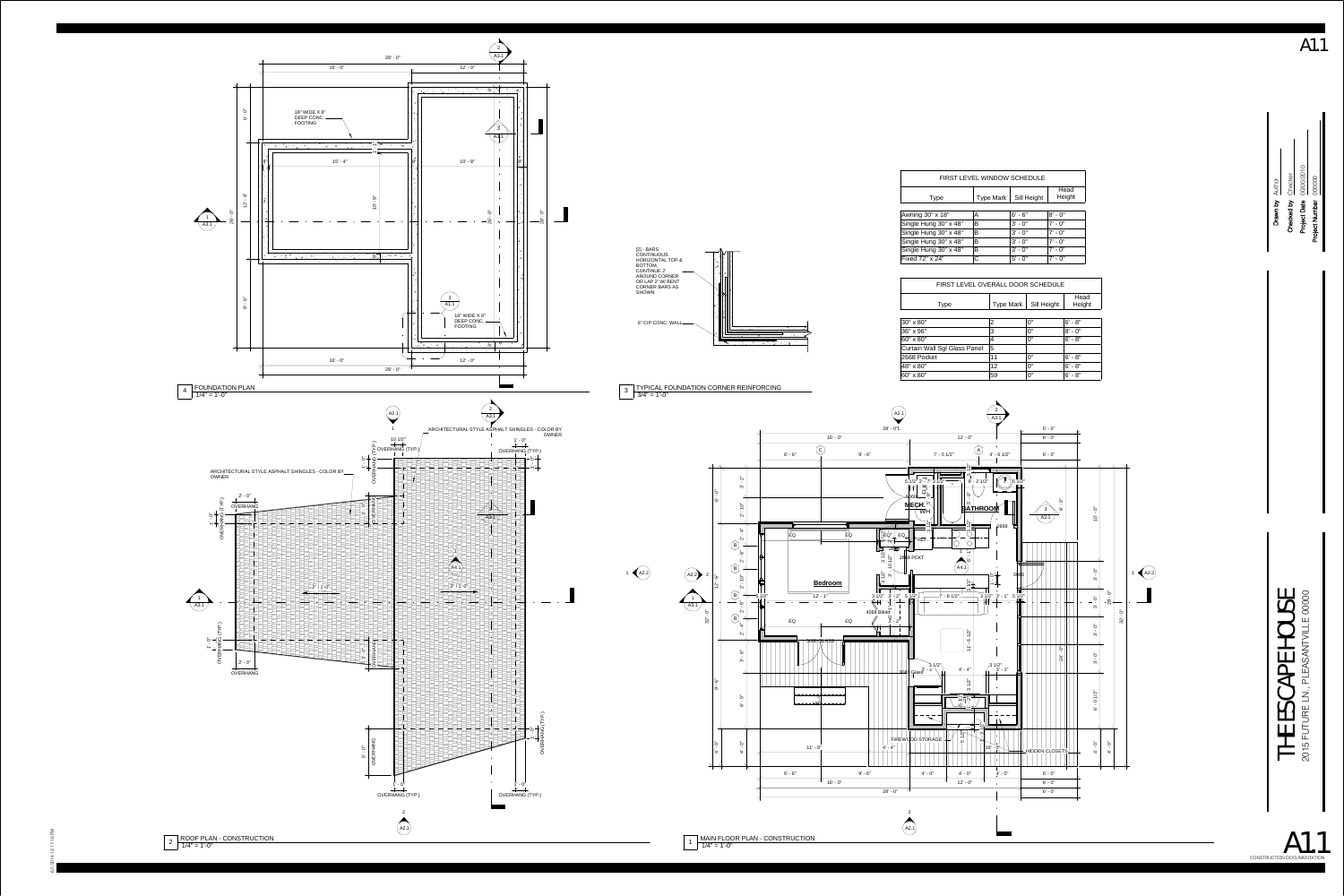$2 \left[ \frac{\text{ROOF PLAN - CONSTRUCTION}}{1/4" = 1'-0"} \right]$ 



1 |  $\overline{MAIN}$  FLOOR PLAN - CONSTRUCTION<br>1/4" = 1'-0"



A1.1

| FIRST LEVEL OVERALL DOOR SCHEDULE |               |                                 |                              |  |  |  |
|-----------------------------------|---------------|---------------------------------|------------------------------|--|--|--|
| <b>Type</b>                       | Type Mark $ $ | Sill Height                     | Head<br>Height               |  |  |  |
|                                   |               |                                 |                              |  |  |  |
|                                   | 2             | 0"                              | $6' - 8''$                   |  |  |  |
|                                   | 3             | 0"                              | $8' - 0''$                   |  |  |  |
|                                   | 4             | 0"                              | $6' - 8''$                   |  |  |  |
| Il Sgl Glass Panel                | 5             |                                 |                              |  |  |  |
| эt                                | 11            | 0"                              | $6' - 8''$                   |  |  |  |
|                                   | 12            | 0"                              | $6' - 8''$                   |  |  |  |
|                                   | rΩ            | $\mathsf{\Omega}^{\mathsf{II}}$ | $\mathbf{C}^{\dagger}$<br>O" |  |  |  |

 $\circ$ 00/00/2010 000000 81 ਨੇ $\vert$  $\bar{\mathcal{L}}$  . Drawn by<br>ecked by<br>pject Date Checked by Project Date Project Number ਾਰ ٽ ਂ ਨੂ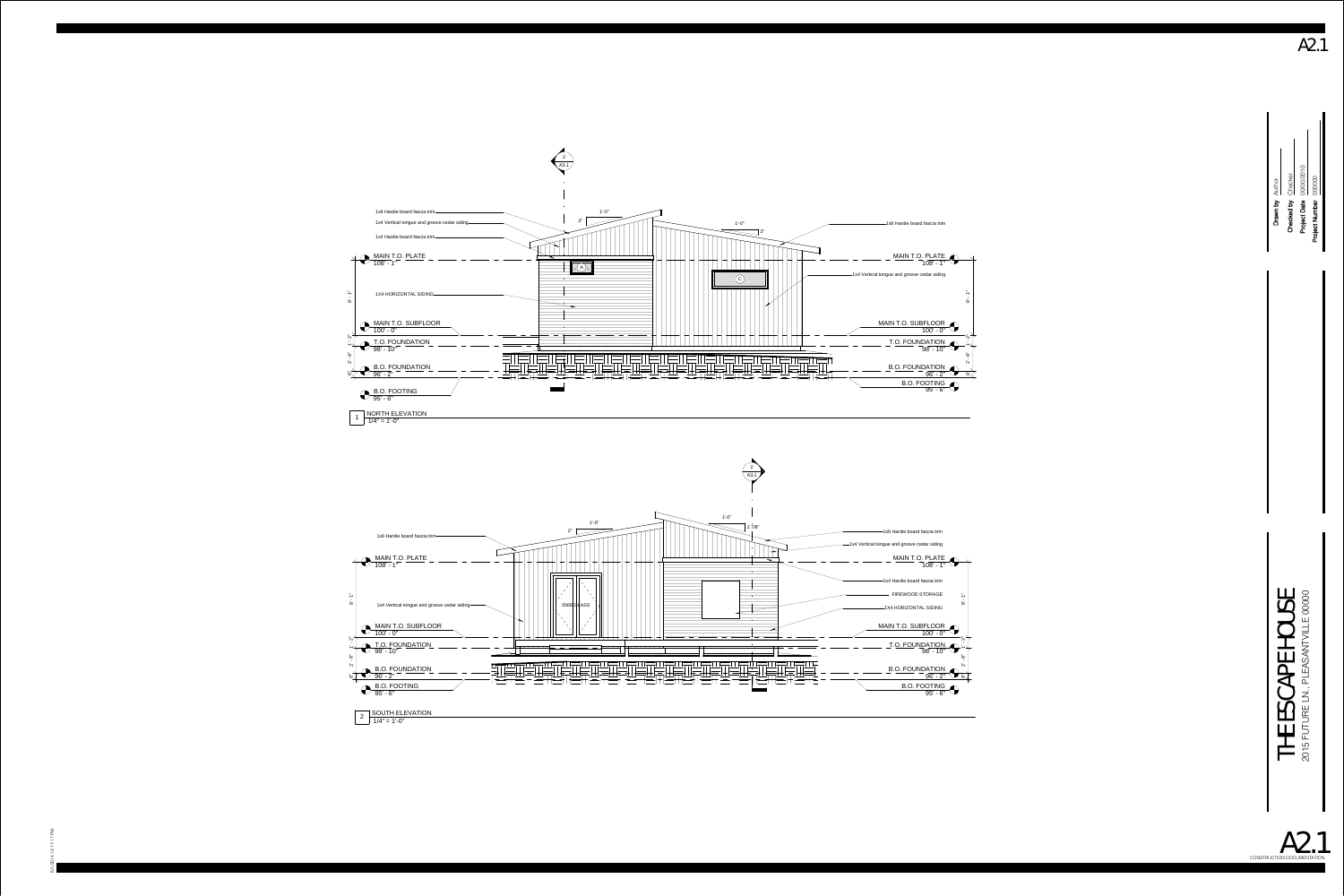





A2.1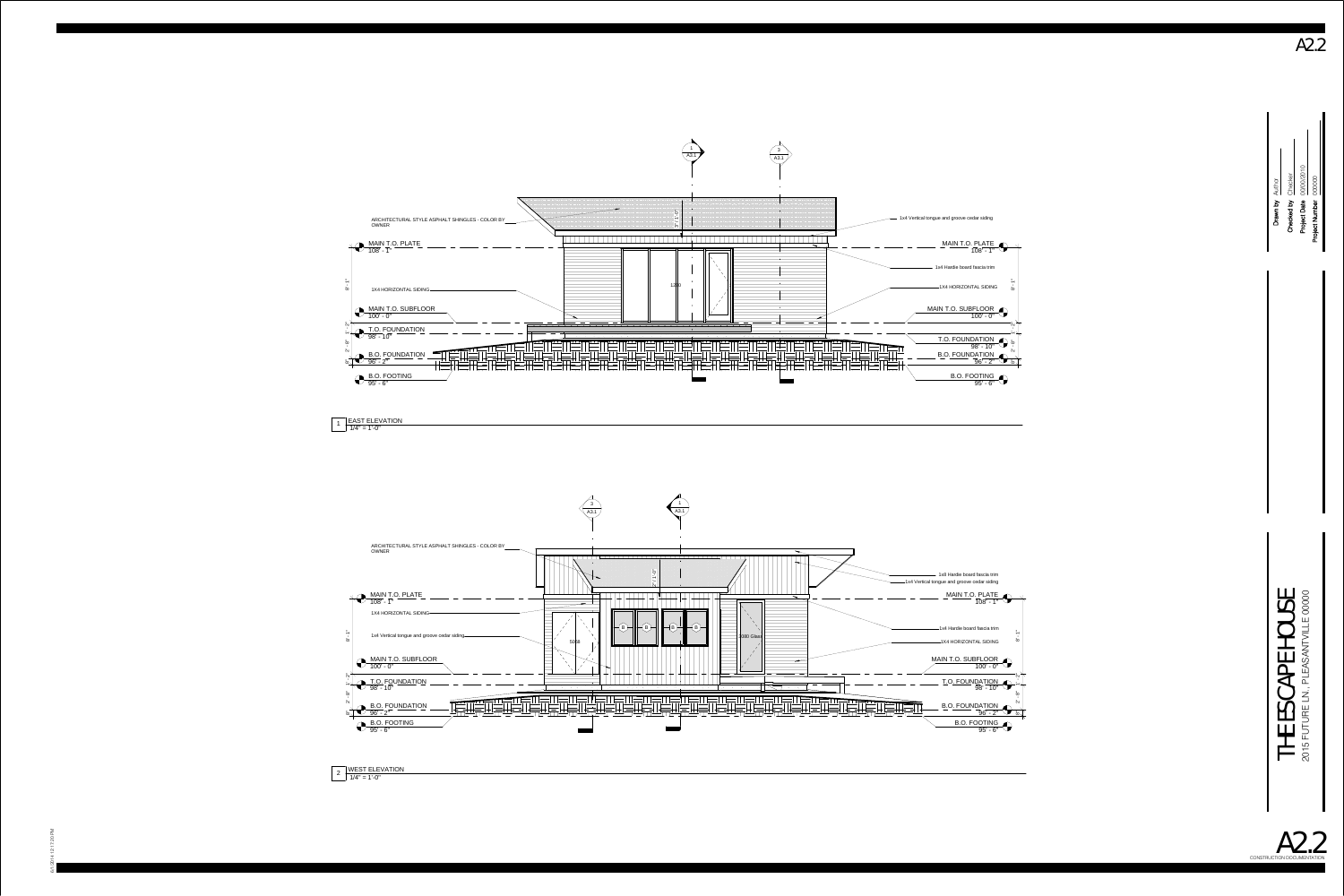B.O. FOUNDATION 96' - 2"



B.O. FOOTING 95' - 6"

1X4 HORIZONTAL SIDING

1x4 Hardie board fascia trim

=<br>8<br>8

י<br>|-<br>|-

ือ<br>2' -

=<br>დ

1x4 Vertical tongue and groove cedar siding

<u>MAIN T.O. PLATE</u><br>"1 - '108



#### $1/4" = 1'-0"$ 2 WEST ELEVATION

1 EAST ELEVATION<br> $1/\sqrt{4} = 1^\circ - 0$ 







A2.2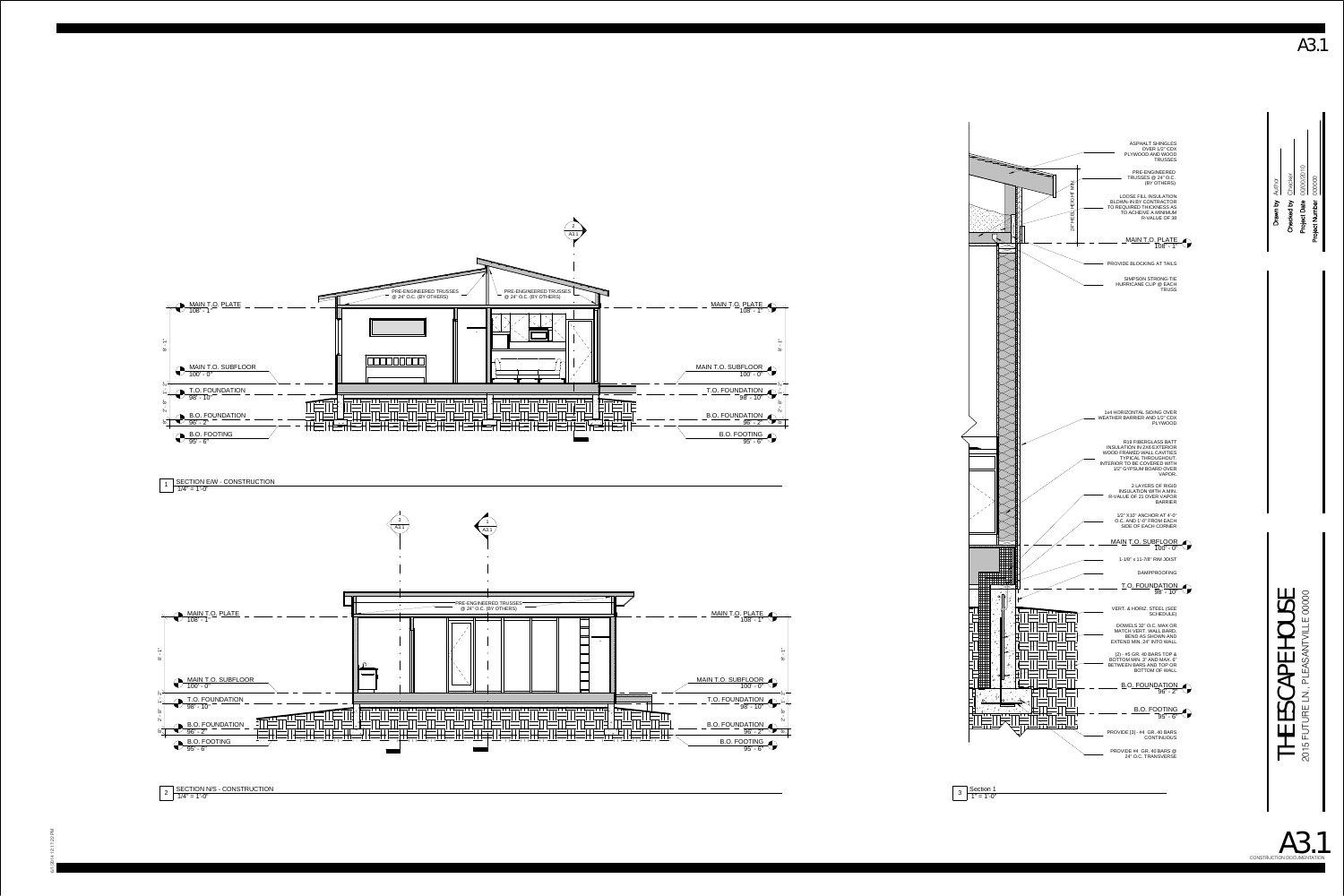



 $1\left[\begin{array}{l}\text{SECTION EM - CONSTRUCTION}\ 1\end{array}\right]$  1/4" = 1'-0"



A3.1